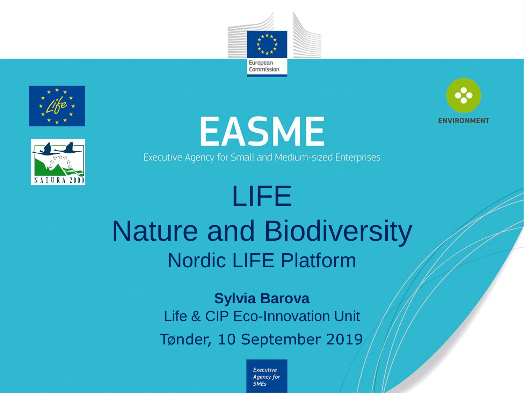









Executive Agency for Small and Medium-sized Enterprises

# LIFE Nature and Biodiversity Nordic LIFE Platform

**Sylvia Barova** Life & CIP Eco-Innovation Unit Tønder, 10 September 2019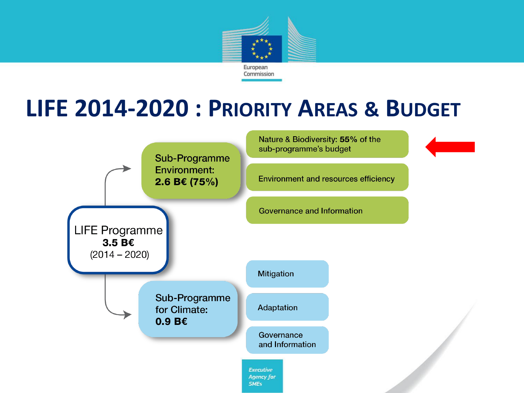

### **LIFE 2014-2020 : PRIORITY AREAS & BUDGET**

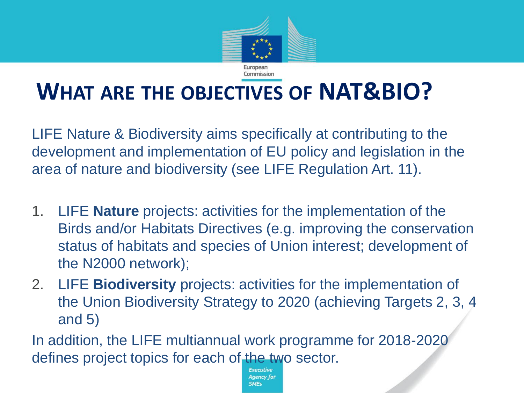

### **WHAT ARE THE OBJECTIVES OF NAT&BIO?**

LIFE Nature & Biodiversity aims specifically at contributing to the development and implementation of EU policy and legislation in the area of nature and biodiversity (see LIFE Regulation Art. 11).

- 1. LIFE **Nature** projects: activities for the implementation of the Birds and/or Habitats Directives (e.g. improving the conservation status of habitats and species of Union interest; development of the N2000 network);
- 2. LIFE **Biodiversity** projects: activities for the implementation of the Union Biodiversity Strategy to 2020 (achieving Targets 2, 3, 4 and 5)

In addition, the LIFE multiannual work programme for 2018-2020 defines project topics for each of the two sector.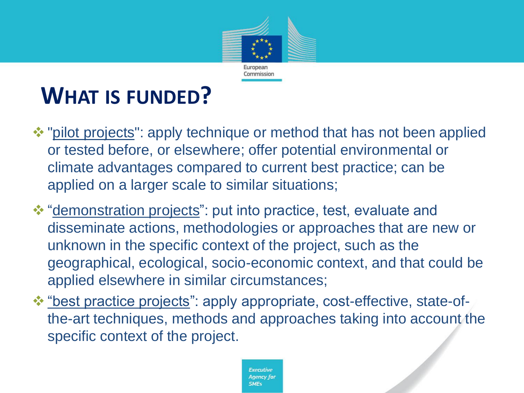

## **WHAT IS FUNDED?**

- ❖ "pilot projects": apply technique or method that has not been applied or tested before, or elsewhere; offer potential environmental or climate advantages compared to current best practice; can be applied on a larger scale to similar situations;
- ❖ "demonstration projects": put into practice, test, evaluate and disseminate actions, methodologies or approaches that are new or unknown in the specific context of the project, such as the geographical, ecological, socio-economic context, and that could be applied elsewhere in similar circumstances;
- ❖ "best practice projects": apply appropriate, cost-effective, state-ofthe-art techniques, methods and approaches taking into account the specific context of the project.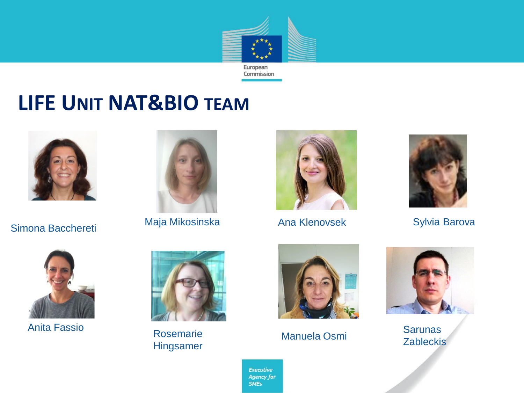

### **LIFE UNIT NAT&BIO TEAM**



Simona Bacchereti



Maja Mikosinska Mana Klenovsek Sylvia Barova



Ana Klenovsek





Anita Fassio



Rosemarie Hingsamer



Manuela Osmi



**Sarunas Zableckis**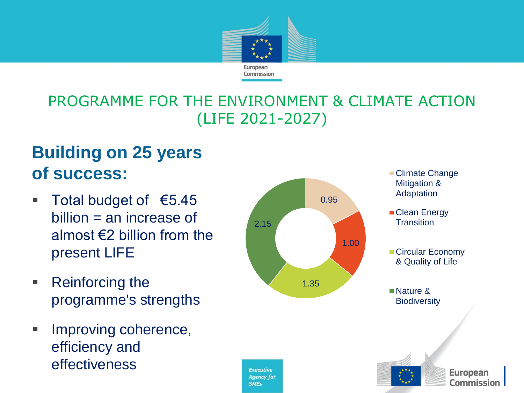

#### PROGRAMME FOR THE ENVIRONMENT & CLIMATE ACTION (LIFE 2021-2027)

#### **Building on 25 years of success:**

- Total budget of €5.45  $billion = an increase of$ almost €2 billion from the present LIFE
- Reinforcing the programme's strengths
- **EXECUTE:** Improving coherence, efficiency and effectiveness

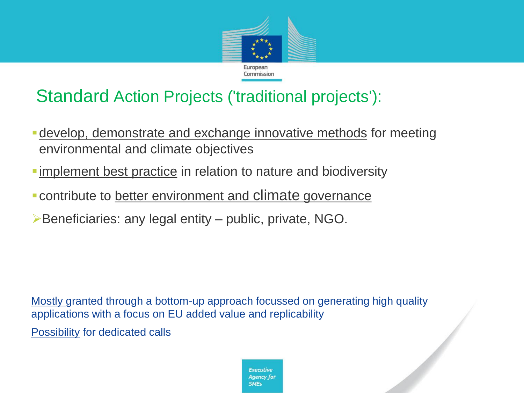

#### Standard Action Projects ('traditional projects'):

- **-** develop, demonstrate and exchange innovative methods for meeting environmental and climate objectives
- **Examplement best practice in relation to nature and biodiversity**
- ▪contribute to better environment and climate governance
- ➢Beneficiaries: any legal entity public, private, NGO.

Mostly granted through a bottom-up approach focussed on generating high quality applications with a focus on EU added value and replicability

**Possibility for dedicated calls** 

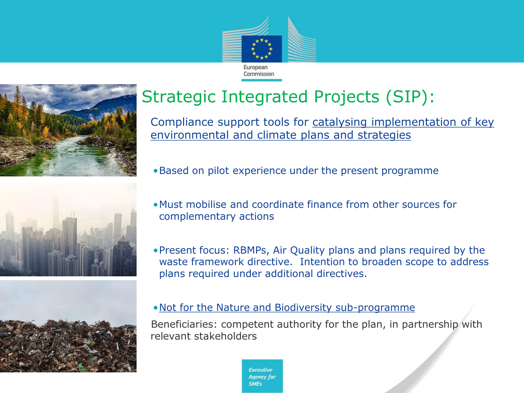







### Strategic Integrated Projects (SIP):

Compliance support tools for catalysing implementation of key environmental and climate plans and strategies

- •Based on pilot experience under the present programme
- •Must mobilise and coordinate finance from other sources for complementary actions
- •Present focus: RBMPs, Air Quality plans and plans required by the waste framework directive. Intention to broaden scope to address plans required under additional directives.
- •Not for the Nature and Biodiversity sub-programme

Beneficiaries: competent authority for the plan, in partnership with relevant stakeholders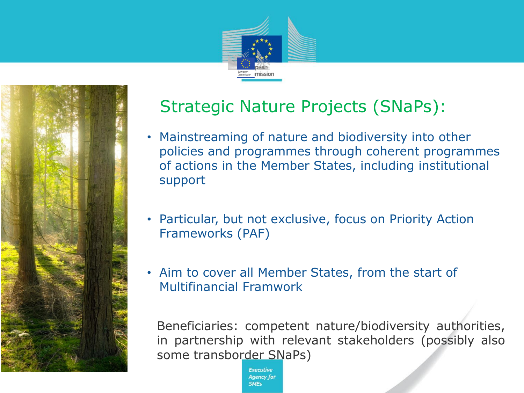



#### Strategic Nature Projects (SNaPs):

- Mainstreaming of nature and biodiversity into other policies and programmes through coherent programmes of actions in the Member States, including institutional support
- Particular, but not exclusive, focus on Priority Action Frameworks (PAF)
- Aim to cover all Member States, from the start of Multifinancial Framwork

Beneficiaries: competent nature/biodiversity authorities, in partnership with relevant stakeholders (possibly also some transborder SNaPs)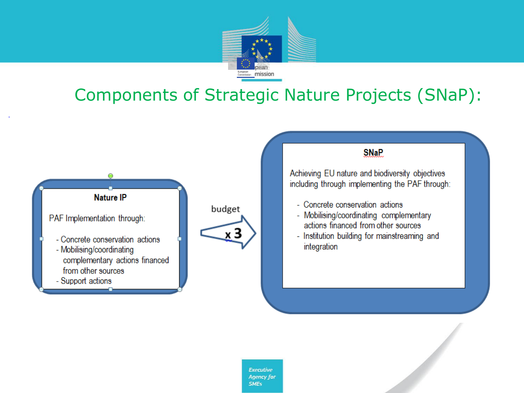

#### Components of Strategic Nature Projects (SNaP):







- Institution building for mainstreaming and integration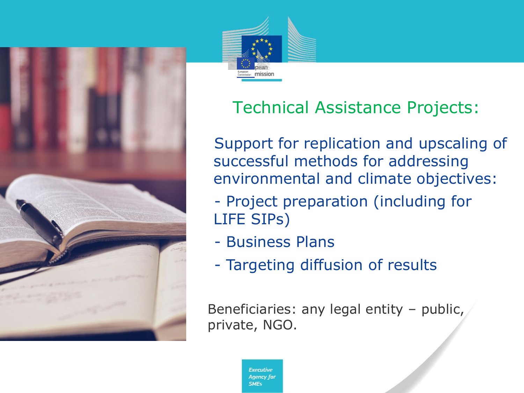



#### Technical Assistance Projects:

Support for replication and upscaling of successful methods for addressing environmental and climate objectives:

- •- Project preparation (including for LIFE SIPs)
- •- Business Plans
- •- Targeting diffusion of results

Beneficiaries: any legal entity – public, private, NGO.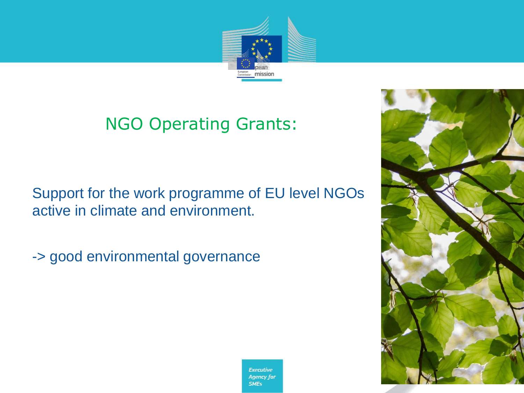

#### NGO Operating Grants:

Support for the work programme of EU level NGOs active in climate and environment.

•-> good environmental governance